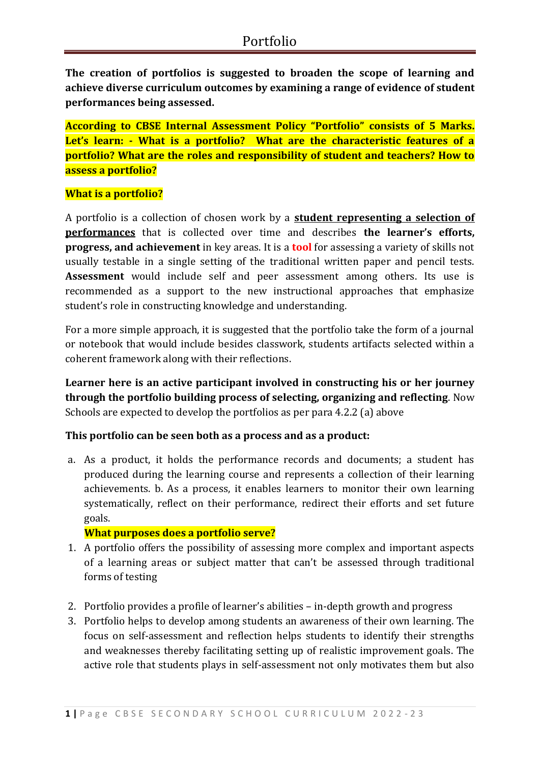**The creation of portfolios is suggested to broaden the scope of learning and achieve diverse curriculum outcomes by examining a range of evidence of student performances being assessed.** 

**According to CBSE Internal Assessment Policy "Portfolio" consists of 5 Marks. Let's learn: - What is a portfolio? What are the characteristic features of a portfolio? What are the roles and responsibility of student and teachers? How to assess a portfolio?** 

## **What is a portfolio?**

A portfolio is a collection of chosen work by a **student representing a selection of performances** that is collected over time and describes **the learner's efforts, progress, and achievement** in key areas. It is a **tool** for assessing a variety of skills not usually testable in a single setting of the traditional written paper and pencil tests. **Assessment** would include self and peer assessment among others. Its use is recommended as a support to the new instructional approaches that emphasize student's role in constructing knowledge and understanding.

For a more simple approach, it is suggested that the portfolio take the form of a journal or notebook that would include besides classwork, students artifacts selected within a coherent framework along with their reflections.

**Learner here is an active participant involved in constructing his or her journey through the portfolio building process of selecting, organizing and reflecting**. Now Schools are expected to develop the portfolios as per para 4.2.2 (a) above

### **This portfolio can be seen both as a process and as a product:**

a. As a product, it holds the performance records and documents; a student has produced during the learning course and represents a collection of their learning achievements. b. As a process, it enables learners to monitor their own learning systematically, reflect on their performance, redirect their efforts and set future goals.

### **What purposes does a portfolio serve?**

- 1. A portfolio offers the possibility of assessing more complex and important aspects of a learning areas or subject matter that can't be assessed through traditional forms of testing
- 2. Portfolio provides a profile of learner's abilities in-depth growth and progress
- 3. Portfolio helps to develop among students an awareness of their own learning. The focus on self-assessment and reflection helps students to identify their strengths and weaknesses thereby facilitating setting up of realistic improvement goals. The active role that students plays in self-assessment not only motivates them but also